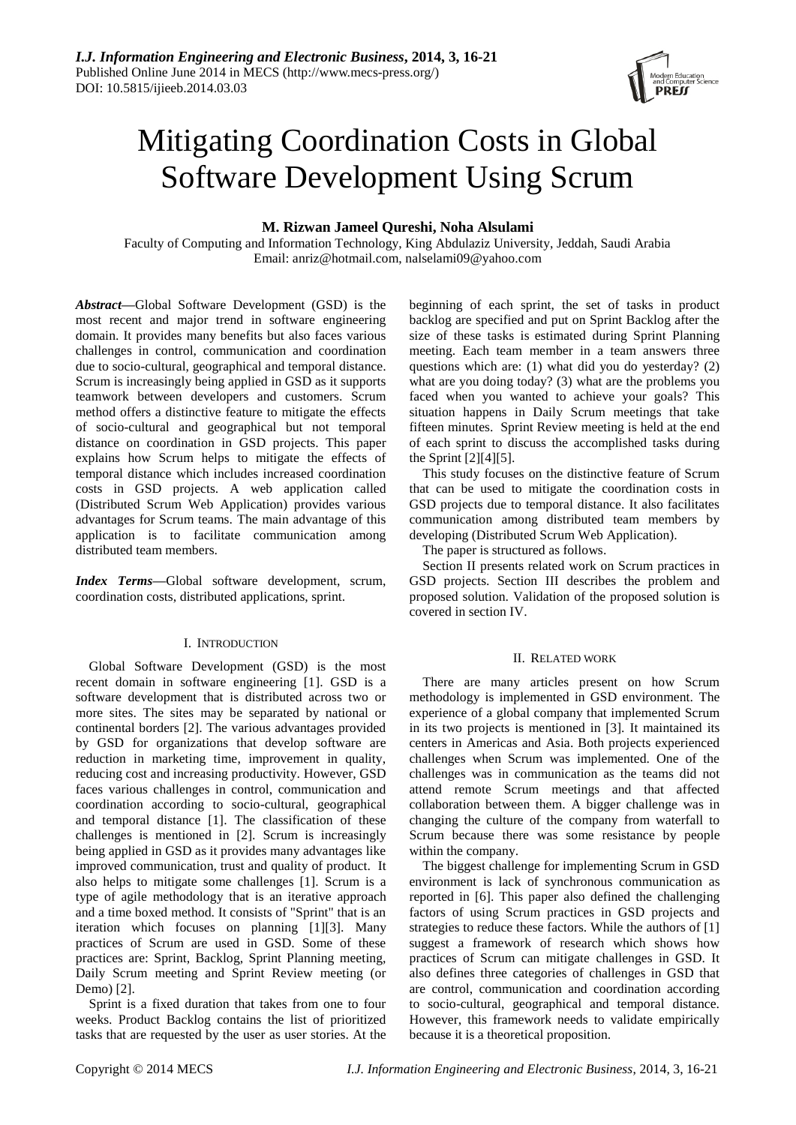

# Mitigating Coordination Costs in Global Software Development Using Scrum

# **M. Rizwan Jameel Qureshi, Noha Alsulami**

Faculty of Computing and Information Technology, King Abdulaziz University, Jeddah, Saudi Arabia Email: anriz@hotmail.com, nalselami09@yahoo.com

*Abstract—*Global Software Development (GSD) is the most recent and major trend in software engineering domain. It provides many benefits but also faces various challenges in control, communication and coordination due to socio-cultural, geographical and temporal distance. Scrum is increasingly being applied in GSD as it supports teamwork between developers and customers. Scrum method offers a distinctive feature to mitigate the effects of socio-cultural and geographical but not temporal distance on coordination in GSD projects. This paper explains how Scrum helps to mitigate the effects of temporal distance which includes increased coordination costs in GSD projects. A web application called (Distributed Scrum Web Application) provides various advantages for Scrum teams. The main advantage of this application is to facilitate communication among distributed team members.

*Index Terms***—**Global software development, scrum, coordination costs, distributed applications, sprint.

## I. INTRODUCTION

Global Software Development (GSD) is the most recent domain in software engineering [1]. GSD is a software development that is distributed across two or more sites. The sites may be separated by national or continental borders [2]. The various advantages provided by GSD for organizations that develop software are reduction in marketing time, improvement in quality, reducing cost and increasing productivity. However, GSD faces various challenges in control, communication and coordination according to socio-cultural, geographical and temporal distance [1]. The classification of these challenges is mentioned in [2]. Scrum is increasingly being applied in GSD as it provides many advantages like improved communication, trust and quality of product. It also helps to mitigate some challenges [1]. Scrum is a type of agile methodology that is an iterative approach and a time boxed method. It consists of "Sprint" that is an iteration which focuses on planning [1][3]. Many practices of Scrum are used in GSD. Some of these practices are: Sprint, Backlog, Sprint Planning meeting, Daily Scrum meeting and Sprint Review meeting (or Demo) [2].

Sprint is a fixed duration that takes from one to four weeks. Product Backlog contains the list of prioritized tasks that are requested by the user as user stories. At the beginning of each sprint, the set of tasks in product backlog are specified and put on Sprint Backlog after the size of these tasks is estimated during Sprint Planning meeting. Each team member in a team answers three questions which are: (1) what did you do yesterday? (2) what are you doing today? (3) what are the problems you faced when you wanted to achieve your goals? This situation happens in Daily Scrum meetings that take fifteen minutes. Sprint Review meeting is held at the end of each sprint to discuss the accomplished tasks during the Sprint [2][4][5].

This study focuses on the distinctive feature of Scrum that can be used to mitigate the coordination costs in GSD projects due to temporal distance. It also facilitates communication among distributed team members by developing (Distributed Scrum Web Application).

The paper is structured as follows.

Section II presents related work on Scrum practices in GSD projects. Section III describes the problem and proposed solution. Validation of the proposed solution is covered in section IV.

## II. RELATED WORK

There are many articles present on how Scrum methodology is implemented in GSD environment. The experience of a global company that implemented Scrum in its two projects is mentioned in [3]. It maintained its centers in Americas and Asia. Both projects experienced challenges when Scrum was implemented. One of the challenges was in communication as the teams did not attend remote Scrum meetings and that affected collaboration between them. A bigger challenge was in changing the culture of the company from waterfall to Scrum because there was some resistance by people within the company.

The biggest challenge for implementing Scrum in GSD environment is lack of synchronous communication as reported in [6]. This paper also defined the challenging factors of using Scrum practices in GSD projects and strategies to reduce these factors. While the authors of [1] suggest a framework of research which shows how practices of Scrum can mitigate challenges in GSD. It also defines three categories of challenges in GSD that are control, communication and coordination according to socio-cultural, geographical and temporal distance. However, this framework needs to validate empirically because it is a theoretical proposition.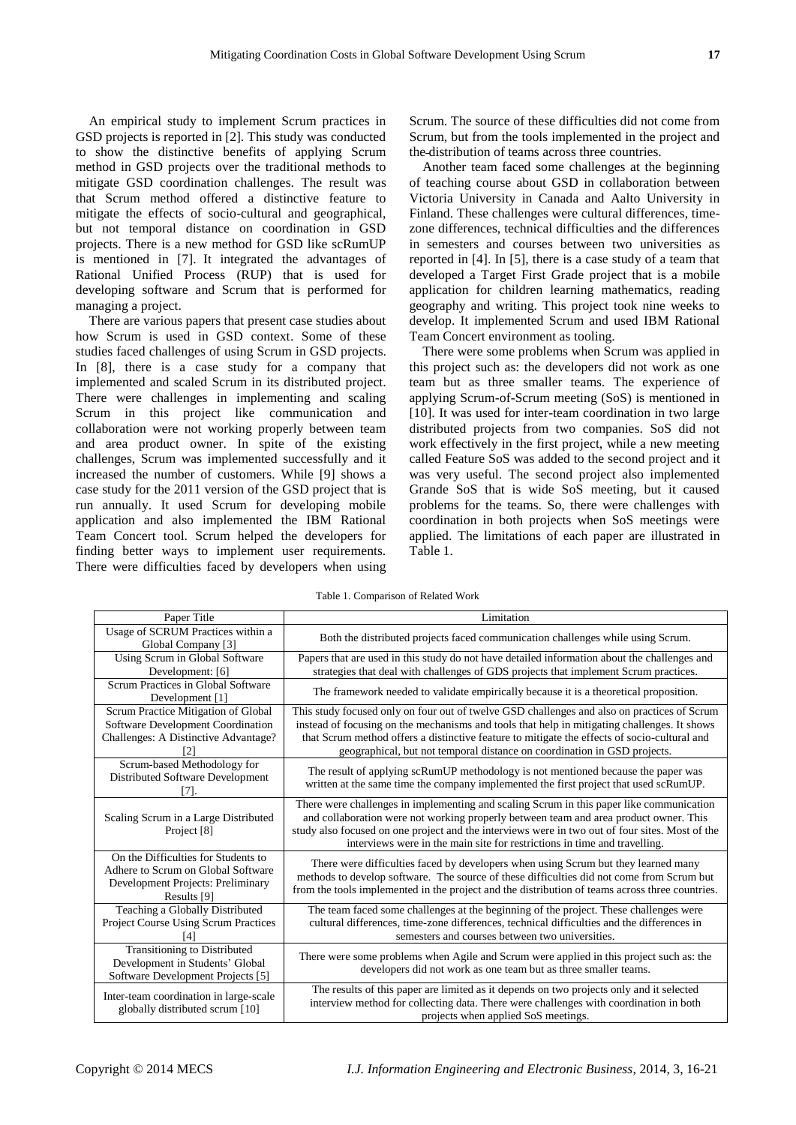An empirical study to implement Scrum practices in GSD projects is reported in [2]. This study was conducted to show the distinctive benefits of applying Scrum method in GSD projects over the traditional methods to mitigate GSD coordination challenges. The result was that Scrum method offered a distinctive feature to mitigate the effects of socio-cultural and geographical, but not temporal distance on coordination in GSD projects. There is a new method for GSD like scRumUP is mentioned in [7]. It integrated the advantages of Rational Unified Process (RUP) that is used for developing software and Scrum that is performed for managing a project.

There are various papers that present case studies about how Scrum is used in GSD context. Some of these studies faced challenges of using Scrum in GSD projects. In [8], there is a case study for a company that implemented and scaled Scrum in its distributed project. There were challenges in implementing and scaling Scrum in this project like communication and collaboration were not working properly between team and area product owner. In spite of the existing challenges, Scrum was implemented successfully and it increased the number of customers. While [9] shows a case study for the 2011 version of the GSD project that is run annually. It used Scrum for developing mobile application and also implemented the IBM Rational Team Concert tool. Scrum helped the developers for finding better ways to implement user requirements. There were difficulties faced by developers when using

Scrum. The source of these difficulties did not come from Scrum, but from the tools implemented in the project and the distribution of teams across three countries.

Another team faced some challenges at the beginning of teaching course about GSD in collaboration between Victoria University in Canada and Aalto University in Finland. These challenges were cultural differences, timezone differences, technical difficulties and the differences in semesters and courses between two universities as reported in [4]. In [5], there is a case study of a team that developed a Target First Grade project that is a mobile application for children learning mathematics, reading geography and writing. This project took nine weeks to develop. It implemented Scrum and used IBM Rational Team Concert environment as tooling.

There were some problems when Scrum was applied in this project such as: the developers did not work as one team but as three smaller teams. The experience of applying Scrum-of-Scrum meeting (SoS) is mentioned in [10]. It was used for inter-team coordination in two large distributed projects from two companies. SoS did not work effectively in the first project, while a new meeting called Feature SoS was added to the second project and it was very useful. The second project also implemented Grande SoS that is wide SoS meeting, but it caused problems for the teams. So, there were challenges with coordination in both projects when SoS meetings were applied. The limitations of each paper are illustrated in Table 1.

Table 1. Comparison of Related Work

| Paper Title                                                                                                                   | Limitation                                                                                                                                                                                                                                                                                                                                                              |  |  |  |
|-------------------------------------------------------------------------------------------------------------------------------|-------------------------------------------------------------------------------------------------------------------------------------------------------------------------------------------------------------------------------------------------------------------------------------------------------------------------------------------------------------------------|--|--|--|
| Usage of SCRUM Practices within a<br>Global Company [3]                                                                       | Both the distributed projects faced communication challenges while using Scrum.                                                                                                                                                                                                                                                                                         |  |  |  |
| Using Scrum in Global Software<br>Development: [6]                                                                            | Papers that are used in this study do not have detailed information about the challenges and<br>strategies that deal with challenges of GDS projects that implement Scrum practices.                                                                                                                                                                                    |  |  |  |
| Scrum Practices in Global Software<br>Development [1]                                                                         | The framework needed to validate empirically because it is a theoretical proposition.                                                                                                                                                                                                                                                                                   |  |  |  |
| Scrum Practice Mitigation of Global<br>Software Development Coordination<br>Challenges: A Distinctive Advantage?              | This study focused only on four out of twelve GSD challenges and also on practices of Scrum<br>instead of focusing on the mechanisms and tools that help in mitigating challenges. It shows<br>that Scrum method offers a distinctive feature to mitigate the effects of socio-cultural and<br>geographical, but not temporal distance on coordination in GSD projects. |  |  |  |
| Scrum-based Methodology for<br>Distributed Software Development<br>[7].                                                       | The result of applying scRumUP methodology is not mentioned because the paper was<br>written at the same time the company implemented the first project that used scRumUP.                                                                                                                                                                                              |  |  |  |
| Scaling Scrum in a Large Distributed<br>Project [8]                                                                           | There were challenges in implementing and scaling Scrum in this paper like communication<br>and collaboration were not working properly between team and area product owner. This<br>study also focused on one project and the interviews were in two out of four sites. Most of the<br>interviews were in the main site for restrictions in time and travelling.       |  |  |  |
| On the Difficulties for Students to<br>Adhere to Scrum on Global Software<br>Development Projects: Preliminary<br>Results [9] | There were difficulties faced by developers when using Scrum but they learned many<br>methods to develop software. The source of these difficulties did not come from Scrum but<br>from the tools implemented in the project and the distribution of teams across three countries.                                                                                      |  |  |  |
| Teaching a Globally Distributed<br>Project Course Using Scrum Practices                                                       | The team faced some challenges at the beginning of the project. These challenges were<br>cultural differences, time-zone differences, technical difficulties and the differences in<br>semesters and courses between two universities.                                                                                                                                  |  |  |  |
| Transitioning to Distributed<br>Development in Students' Global<br>Software Development Projects [5]                          | There were some problems when Agile and Scrum were applied in this project such as: the<br>developers did not work as one team but as three smaller teams.                                                                                                                                                                                                              |  |  |  |
| Inter-team coordination in large-scale<br>globally distributed scrum [10]                                                     | The results of this paper are limited as it depends on two projects only and it selected<br>interview method for collecting data. There were challenges with coordination in both<br>projects when applied SoS meetings.                                                                                                                                                |  |  |  |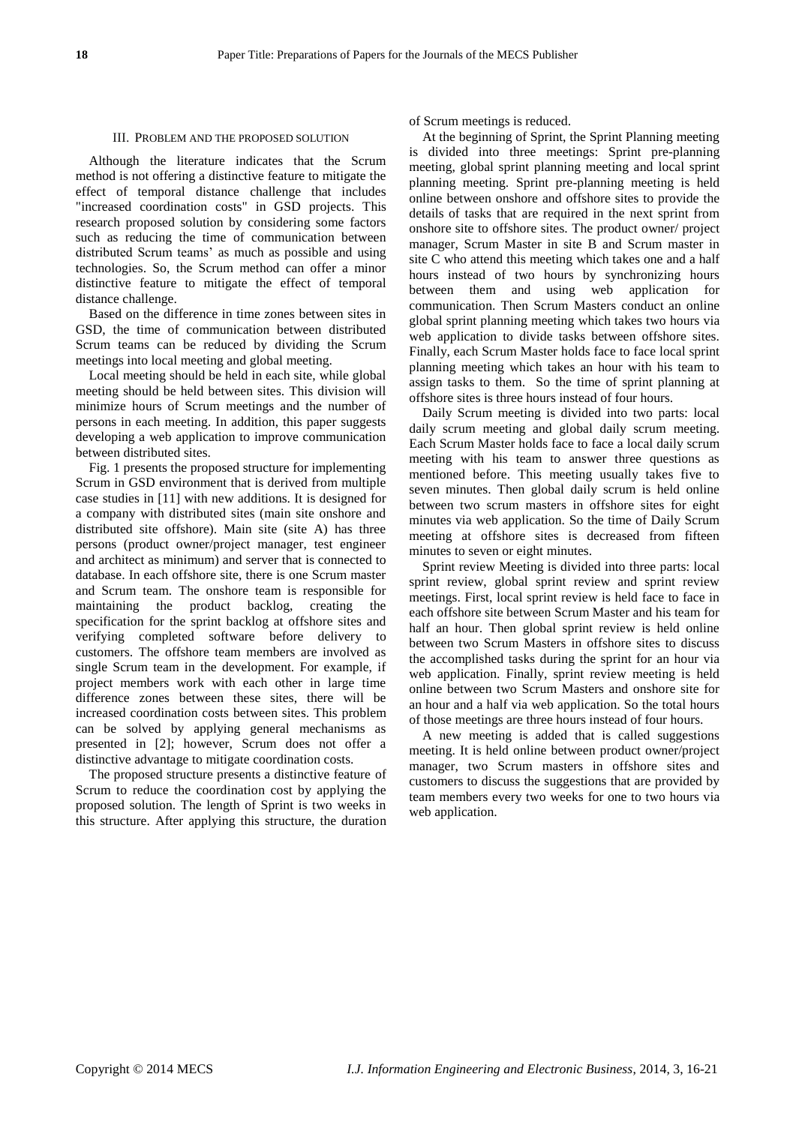#### III. PROBLEM AND THE PROPOSED SOLUTION

Although the literature indicates that the Scrum method is not offering a distinctive feature to mitigate the effect of temporal distance challenge that includes "increased coordination costs" in GSD projects. This research proposed solution by considering some factors such as reducing the time of communication between distributed Scrum teams' as much as possible and using technologies. So, the Scrum method can offer a minor distinctive feature to mitigate the effect of temporal distance challenge.

Based on the difference in time zones between sites in GSD, the time of communication between distributed Scrum teams can be reduced by dividing the Scrum meetings into local meeting and global meeting.

Local meeting should be held in each site, while global meeting should be held between sites. This division will minimize hours of Scrum meetings and the number of persons in each meeting. In addition, this paper suggests developing a web application to improve communication between distributed sites.

Fig. 1 presents the proposed structure for implementing Scrum in GSD environment that is derived from multiple case studies in [11] with new additions. It is designed for a company with distributed sites (main site onshore and distributed site offshore). Main site (site A) has three persons (product owner/project manager, test engineer and architect as minimum) and server that is connected to database. In each offshore site, there is one Scrum master and Scrum team. The onshore team is responsible for maintaining the product backlog, creating the specification for the sprint backlog at offshore sites and verifying completed software before delivery to customers. The offshore team members are involved as single Scrum team in the development. For example, if project members work with each other in large time difference zones between these sites, there will be increased coordination costs between sites. This problem can be solved by applying general mechanisms as presented in [2]; however, Scrum does not offer a distinctive advantage to mitigate coordination costs.

The proposed structure presents a distinctive feature of Scrum to reduce the coordination cost by applying the proposed solution. The length of Sprint is two weeks in this structure. After applying this structure, the duration of Scrum meetings is reduced.

At the beginning of Sprint, the Sprint Planning meeting is divided into three meetings: Sprint pre-planning meeting, global sprint planning meeting and local sprint planning meeting. Sprint pre-planning meeting is held online between onshore and offshore sites to provide the details of tasks that are required in the next sprint from onshore site to offshore sites. The product owner/ project manager, Scrum Master in site B and Scrum master in site C who attend this meeting which takes one and a half hours instead of two hours by synchronizing hours between them and using web application for communication. Then Scrum Masters conduct an online global sprint planning meeting which takes two hours via web application to divide tasks between offshore sites. Finally, each Scrum Master holds face to face local sprint planning meeting which takes an hour with his team to assign tasks to them. So the time of sprint planning at offshore sites is three hours instead of four hours.

Daily Scrum meeting is divided into two parts: local daily scrum meeting and global daily scrum meeting. Each Scrum Master holds face to face a local daily scrum meeting with his team to answer three questions as mentioned before. This meeting usually takes five to seven minutes. Then global daily scrum is held online between two scrum masters in offshore sites for eight minutes via web application. So the time of Daily Scrum meeting at offshore sites is decreased from fifteen minutes to seven or eight minutes.

Sprint review Meeting is divided into three parts: local sprint review, global sprint review and sprint review meetings. First, local sprint review is held face to face in each offshore site between Scrum Master and his team for half an hour. Then global sprint review is held online between two Scrum Masters in offshore sites to discuss the accomplished tasks during the sprint for an hour via web application. Finally, sprint review meeting is held online between two Scrum Masters and onshore site for an hour and a half via web application. So the total hours of those meetings are three hours instead of four hours.

A new meeting is added that is called suggestions meeting. It is held online between product owner/project manager, two Scrum masters in offshore sites and customers to discuss the suggestions that are provided by team members every two weeks for one to two hours via web application.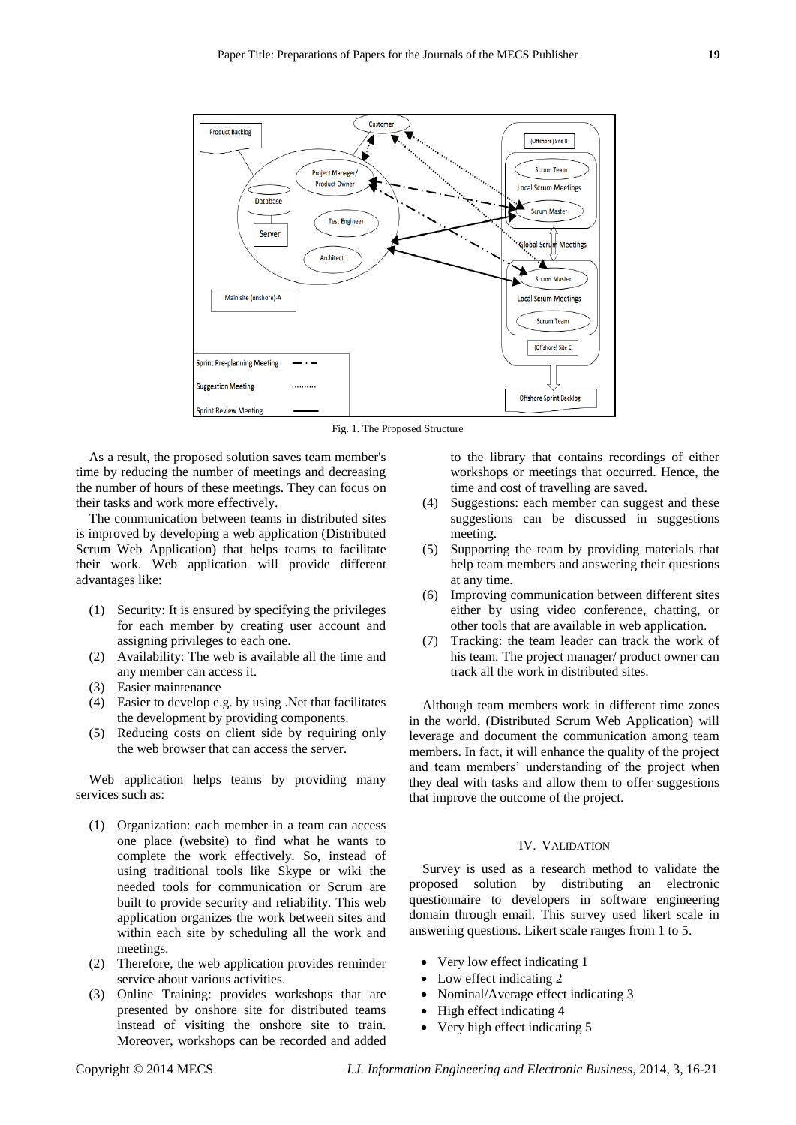

Fig. 1. The Proposed Structure

As a result, the proposed solution saves team member's time by reducing the number of meetings and decreasing the number of hours of these meetings. They can focus on their tasks and work more effectively.

The communication between teams in distributed sites is improved by developing a web application (Distributed Scrum Web Application) that helps teams to facilitate their work. Web application will provide different advantages like:

- (1) Security: It is ensured by specifying the privileges for each member by creating user account and assigning privileges to each one.
- (2) Availability: The web is available all the time and any member can access it.
- (3) Easier maintenance
- (4) Easier to develop e.g. by using .Net that facilitates the development by providing components.
- (5) Reducing costs on client side by requiring only the web browser that can access the server.

Web application helps teams by providing many services such as:

- (1) Organization: each member in a team can access one place (website) to find what he wants to complete the work effectively. So, instead of using traditional tools like Skype or wiki the needed tools for communication or Scrum are built to provide security and reliability. This web application organizes the work between sites and within each site by scheduling all the work and meetings.
- (2) Therefore, the web application provides reminder service about various activities.
- (3) Online Training: provides workshops that are presented by onshore site for distributed teams instead of visiting the onshore site to train. Moreover, workshops can be recorded and added

to the library that contains recordings of either workshops or meetings that occurred. Hence, the time and cost of travelling are saved.

- (4) Suggestions: each member can suggest and these suggestions can be discussed in suggestions meeting.
- (5) Supporting the team by providing materials that help team members and answering their questions at any time.
- (6) Improving communication between different sites either by using video conference, chatting, or other tools that are available in web application.
- (7) Tracking: the team leader can track the work of his team. The project manager/ product owner can track all the work in distributed sites.

Although team members work in different time zones in the world, (Distributed Scrum Web Application) will leverage and document the communication among team members. In fact, it will enhance the quality of the project and team members' understanding of the project when they deal with tasks and allow them to offer suggestions that improve the outcome of the project.

# IV. VALIDATION

Survey is used as a research method to validate the proposed solution by distributing an electronic questionnaire to developers in software engineering domain through email. This survey used likert scale in answering questions. Likert scale ranges from 1 to 5.

- Very low effect indicating 1
- Low effect indicating 2
- Nominal/Average effect indicating 3
- $\bullet$  High effect indicating 4
- Very high effect indicating 5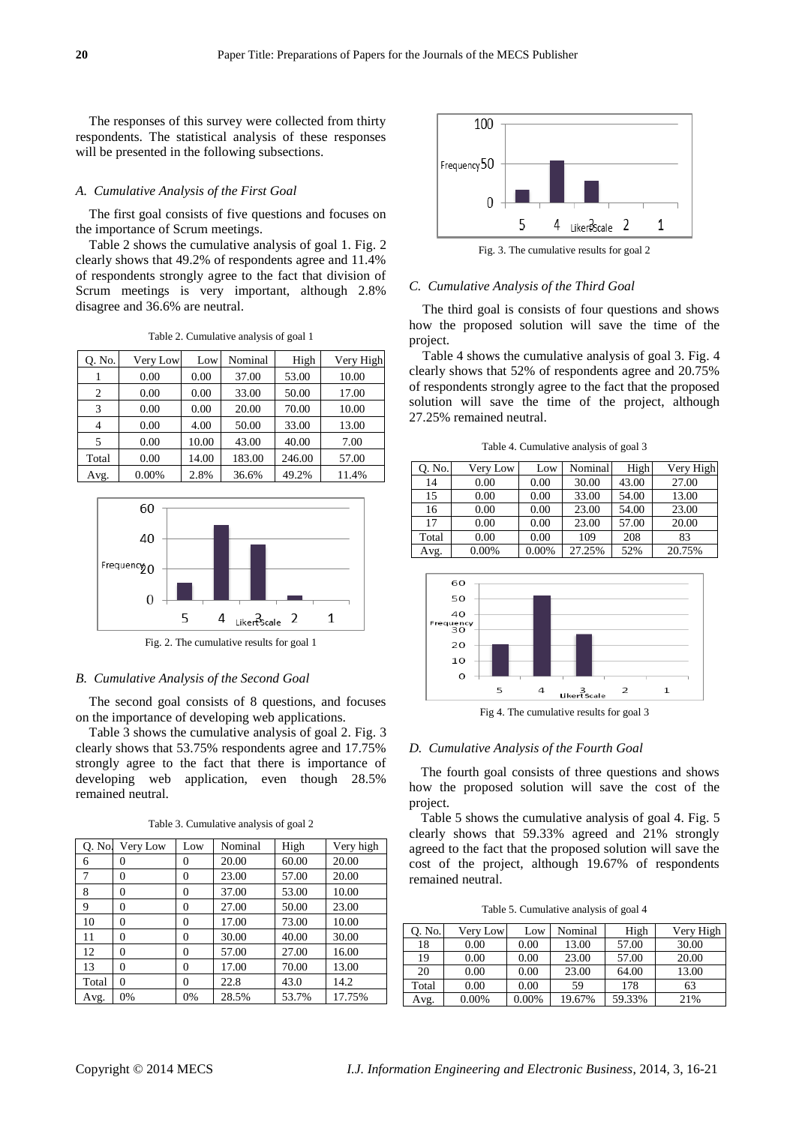The responses of this survey were collected from thirty respondents. The statistical analysis of these responses will be presented in the following subsections.

#### *A. Cumulative Analysis of the First Goal*

The first goal consists of five questions and focuses on the importance of Scrum meetings.

Table 2 shows the cumulative analysis of goal 1. Fig. 2 clearly shows that 49.2% of respondents agree and 11.4% of respondents strongly agree to the fact that division of Scrum meetings is very important, although 2.8% disagree and 36.6% are neutral.

Table 2. Cumulative analysis of goal 1

| 0. No.         | Very Low | Low   | Nominal | High   | Very High |
|----------------|----------|-------|---------|--------|-----------|
|                | 0.00     | 0.00  | 37.00   | 53.00  | 10.00     |
| $\overline{c}$ | 0.00     | 0.00  | 33.00   | 50.00  | 17.00     |
| 3              | 0.00     | 0.00  | 20.00   | 70.00  | 10.00     |
| 4              | 0.00     | 4.00  | 50.00   | 33.00  | 13.00     |
| 5              | 0.00     | 10.00 | 43.00   | 40.00  | 7.00      |
| Total          | 0.00     | 14.00 | 183.00  | 246.00 | 57.00     |
| Avg.           | 0.00%    | 2.8%  | 36.6%   | 49.2%  | 11.4%     |



Fig. 2. The cumulative results for goal 1

## *B. Cumulative Analysis of the Second Goal*

The second goal consists of 8 questions, and focuses on the importance of developing web applications.

Table 3 shows the cumulative analysis of goal 2. Fig. 3 clearly shows that 53.75% respondents agree and 17.75% strongly agree to the fact that there is importance of developing web application, even though 28.5% remained neutral.

Table 3. Cumulative analysis of goal 2

| Q. No. | Very Low       | Low            | Nominal | High  | Very high |
|--------|----------------|----------------|---------|-------|-----------|
| 6      | 0              | $\theta$       | 20.00   | 60.00 | 20.00     |
| 7      | $\theta$       | $\theta$       | 23.00   | 57.00 | 20.00     |
| 8      | $\overline{0}$ | $\overline{0}$ | 37.00   | 53.00 | 10.00     |
| 9      | $\theta$       | $\theta$       | 27.00   | 50.00 | 23.00     |
| 10     | $\theta$       | $\theta$       | 17.00   | 73.00 | 10.00     |
| 11     | $\theta$       | $\theta$       | 30.00   | 40.00 | 30.00     |
| 12     | $\Omega$       | $\theta$       | 57.00   | 27.00 | 16.00     |
| 13     | 0              | 0              | 17.00   | 70.00 | 13.00     |
| Total  | $\theta$       | $\theta$       | 22.8    | 43.0  | 14.2      |
| Avg.   | 0%             | 0%             | 28.5%   | 53.7% | 17.75%    |



Fig. 3. The cumulative results for goal 2

# *C. Cumulative Analysis of the Third Goal*

The third goal is consists of four questions and shows how the proposed solution will save the time of the project.

Table 4 shows the cumulative analysis of goal 3. Fig. 4 clearly shows that 52% of respondents agree and 20.75% of respondents strongly agree to the fact that the proposed solution will save the time of the project, although 27.25% remained neutral.

Table 4. Cumulative analysis of goal 3

| 0. No. | Very Low | Low   | Nominal | High  | Very High |
|--------|----------|-------|---------|-------|-----------|
| 14     | 0.00     | 0.00  | 30.00   | 43.00 | 27.00     |
| 15     | 0.00     | 0.00  | 33.00   | 54.00 | 13.00     |
| 16     | 0.00     | 0.00  | 23.00   | 54.00 | 23.00     |
| 17     | 0.00     | 0.00  | 23.00   | 57.00 | 20.00     |
| Total  | 0.00     | 0.00  | 109     | 208   | 83        |
| Avg.   | 0.00%    | 0.00% | 27.25%  | 52%   | 20.75%    |



Fig 4. The cumulative results for goal 3

#### *D. Cumulative Analysis of the Fourth Goal*

The fourth goal consists of three questions and shows how the proposed solution will save the cost of the project.

Table 5 shows the cumulative analysis of goal 4. Fig. 5 clearly shows that 59.33% agreed and 21% strongly agreed to the fact that the proposed solution will save the cost of the project, although 19.67% of respondents remained neutral.

Table 5. Cumulative analysis of goal 4

| 0. No. | Very Low | Low   | Nominal | High   | Very High |
|--------|----------|-------|---------|--------|-----------|
| 18     | 0.00     | 0.00  | 13.00   | 57.00  | 30.00     |
| 19     | 0.00     | 0.00  | 23.00   | 57.00  | 20.00     |
| 20     | 0.00     | 0.00  | 23.00   | 64.00  | 13.00     |
| Total  | 0.00     | 0.00  | 59      | 178    | 63        |
| Avg.   | $0.00\%$ | 0.00% | 19.67%  | 59.33% | 21%       |